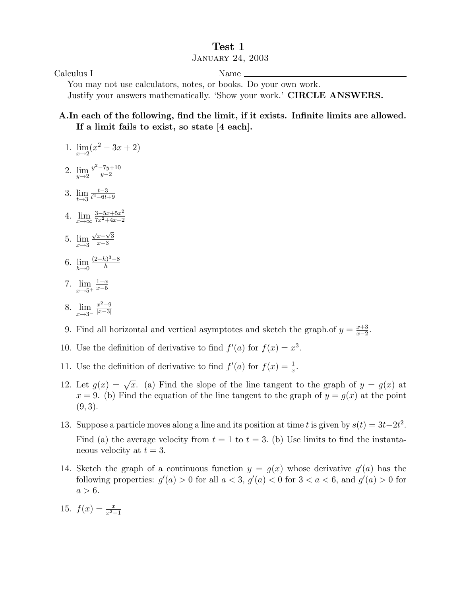## Test 1

## January 24, 2003

Calculus I Name

You may not use calculators, notes, or books. Do your own work. Justify your answers mathematically. 'Show your work.' CIRCLE ANSWERS.

## A. In each of the following, find the limit, if it exists. Infinite limits are allowed. If a limit fails to exist, so state [4 each].

- 1.  $\lim_{x \to 2} (x^2 3x + 2)$
- 2. lim  $y\rightarrow 2$  $y^2 - 7y + 10$  $y-2$
- 3. lim  $t\rightarrow 3$  $\frac{t-3}{t^2-6t+9}$
- 4.  $\lim_{x \to \infty} \frac{3-5x+5x^2}{7x^2+4x+2}$  $7x^2+4x+2$
- 5.  $\lim_{x \to 3} \frac{\sqrt{x} \sqrt{3}}{x 3}$  $x-3$
- 6. lim  $h\rightarrow 0$  $\frac{(2+h)^3-8}{h}$
- 7. lim  $x \rightarrow 5^+$  $\frac{1-x}{2}$  $x-5$
- 8. lim  $x \rightarrow 3^ \frac{x^2-9}{2}$  $|x-3|$
- 9. Find all horizontal and vertical asymptotes and sketch the graph.of  $y = \frac{x+3}{x-2}$  $\frac{x+3}{x-2}$ .
- 10. Use the definition of derivative to find  $f'(a)$  for  $f(x) = x^3$ .
- 11. Use the definition of derivative to find  $f'(a)$  for  $f(x) = \frac{1}{x}$ .
- 12. Let  $g(x) = \sqrt{x}$ . (a) Find the slope of the line tangent to the graph of  $y = g(x)$  at  $x = 9$ . (b) Find the equation of the line tangent to the graph of  $y = g(x)$  at the point  $(9, 3).$
- 13. Suppose a particle moves along a line and its position at time t is given by  $s(t) = 3t-2t^2$ . Find (a) the average velocity from  $t = 1$  to  $t = 3$ . (b) Use limits to find the instantaneous velocity at  $t = 3$ .
- 14. Sketch the graph of a continuous function  $y = g(x)$  whose derivative  $g'(a)$  has the following properties:  $g'(a) > 0$  for all  $a < 3$ ,  $g'(a) < 0$  for  $3 < a < 6$ , and  $g'(a) > 0$  for  $a > 6.$

15. 
$$
f(x) = \frac{x}{x^2 - 1}
$$